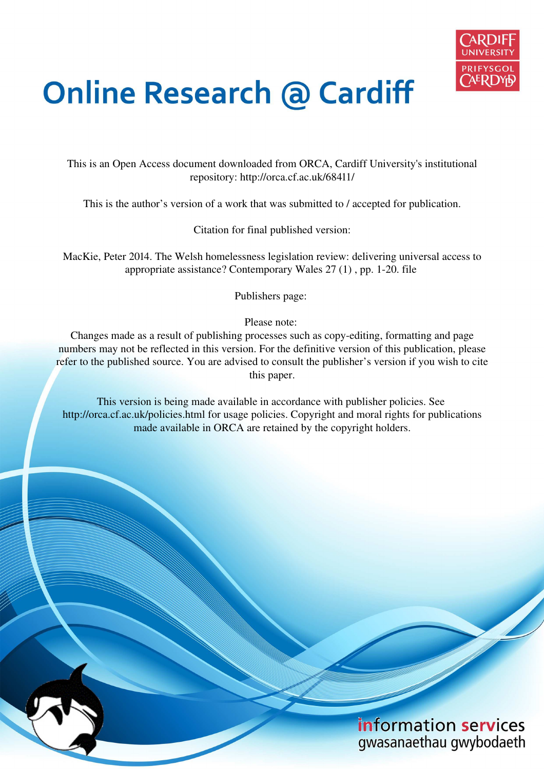

# **Online Research @ Cardiff**

This is an Open Access document downloaded from ORCA, Cardiff University's institutional repository: http://orca.cf.ac.uk/68411/

This is the author's version of a work that was submitted to / accepted for publication.

Citation for final published version:

MacKie, Peter 2014. The Welsh homelessness legislation review: delivering universal access to appropriate assistance? Contemporary Wales 27 (1) , pp. 1-20. file

Publishers page:

Please note:

Changes made as a result of publishing processes such as copy-editing, formatting and page numbers may not be reflected in this version. For the definitive version of this publication, please refer to the published source. You are advised to consult the publisher's version if you wish to cite this paper.

This version is being made available in accordance with publisher policies. See http://orca.cf.ac.uk/policies.html for usage policies. Copyright and moral rights for publications made available in ORCA are retained by the copyright holders.

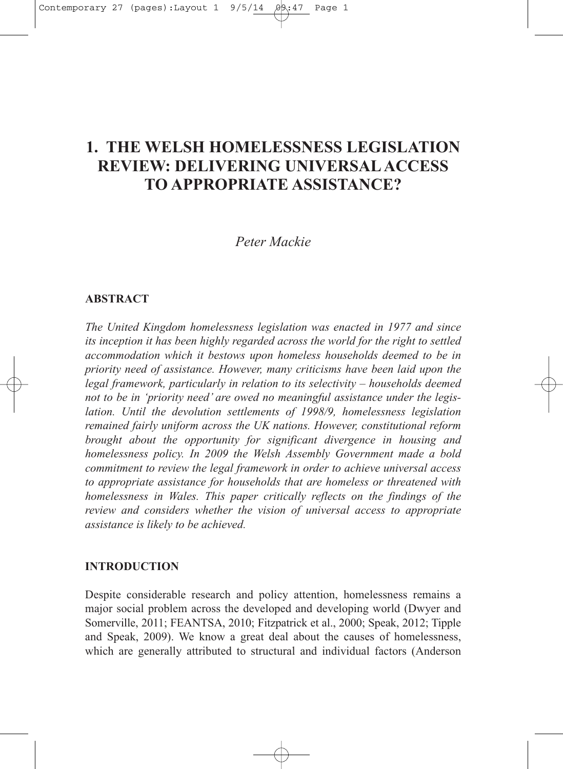## **1. THE WELSH HOMELESSNESS LEGISLATION REVIEW: DELIVERING UNIVERSAL ACCESS TO APPROPRIATE ASSISTANCE?**

## *Peter Mackie*

## **ABSTRACT**

*The United Kingdom homelessness legislation was enacted in 1977 and since its inception it has been highly regarded across the world for the right to settled accommodation which it bestows upon homeless households deemed to be in priority need of assistance. However, many criticisms have been laid upon the legal framework, particularly in relation to its selectivity – households deemed not to be in 'priority need' are owed no meaningful assistance under the legislation. Until the devolution settlements of 1998/9, homelessness legislation remained fairly uniform across the UK nations. However, constitutional reform brought about the opportunity for significant divergence in housing and homelessness policy. In 2009 the Welsh Assembly Government made a bold commitment to review the legal framework in order to achieve universal access to appropriate assistance for households that are homeless or threatened with homelessness in Wales. This paper critically reflects on the findings of the review and considers whether the vision of universal access to appropriate assistance is likely to be achieved.*

## **INTRODUCTION**

Despite considerable research and policy attention, homelessness remains a major social problem across the developed and developing world (Dwyer and Somerville, 2011; FEANTSA, 2010; Fitzpatrick et al., 2000; Speak, 2012; Tipple and Speak, 2009). We know a great deal about the causes of homelessness, which are generally attributed to structural and individual factors (Anderson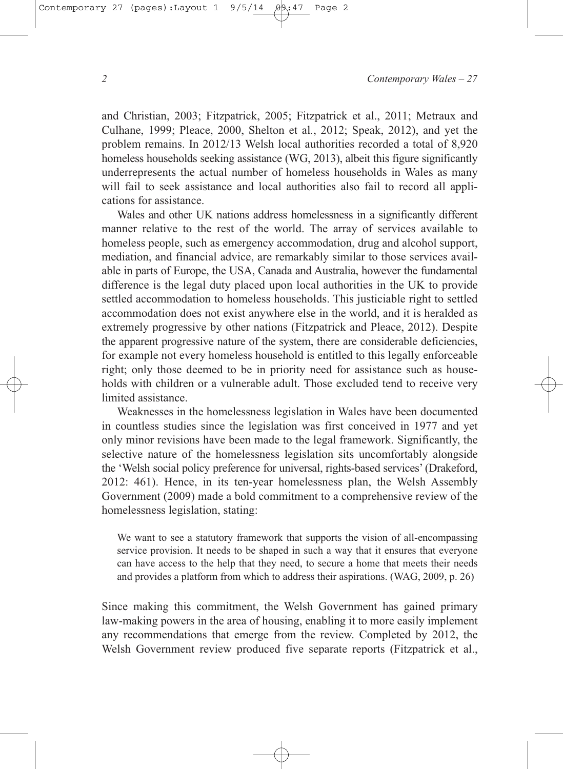and Christian, 2003; Fitzpatrick, 2005; Fitzpatrick et al., 2011; Metraux and Culhane, 1999; Pleace, 2000, Shelton et al*.*, 2012; Speak, 2012), and yet the problem remains. In 2012/13 Welsh local authorities recorded a total of 8,920 homeless households seeking assistance (WG, 2013), albeit this figure significantly underrepresents the actual number of homeless households in Wales as many will fail to seek assistance and local authorities also fail to record all applications for assistance.

Wales and other UK nations address homelessness in a significantly different manner relative to the rest of the world. The array of services available to homeless people, such as emergency accommodation, drug and alcohol support, mediation, and financial advice, are remarkably similar to those services available in parts of Europe, the USA, Canada and Australia, however the fundamental difference is the legal duty placed upon local authorities in the UK to provide settled accommodation to homeless households. This justiciable right to settled accommodation does not exist anywhere else in the world, and it is heralded as extremely progressive by other nations (Fitzpatrick and Pleace, 2012). Despite the apparent progressive nature of the system, there are considerable deficiencies, for example not every homeless household is entitled to this legally enforceable right; only those deemed to be in priority need for assistance such as households with children or a vulnerable adult. Those excluded tend to receive very limited assistance.

Weaknesses in the homelessness legislation in Wales have been documented in countless studies since the legislation was first conceived in 1977 and yet only minor revisions have been made to the legal framework. Significantly, the selective nature of the homelessness legislation sits uncomfortably alongside the 'Welsh social policy preference for universal, rights-based services' (Drakeford, 2012: 461). Hence, in its ten-year homelessness plan, the Welsh Assembly Government (2009) made a bold commitment to a comprehensive review of the homelessness legislation, stating:

We want to see a statutory framework that supports the vision of all-encompassing service provision. It needs to be shaped in such a way that it ensures that everyone can have access to the help that they need, to secure a home that meets their needs and provides a platform from which to address their aspirations. (WAG, 2009, p. 26)

Since making this commitment, the Welsh Government has gained primary law-making powers in the area of housing, enabling it to more easily implement any recommendations that emerge from the review. Completed by 2012, the Welsh Government review produced five separate reports (Fitzpatrick et al.,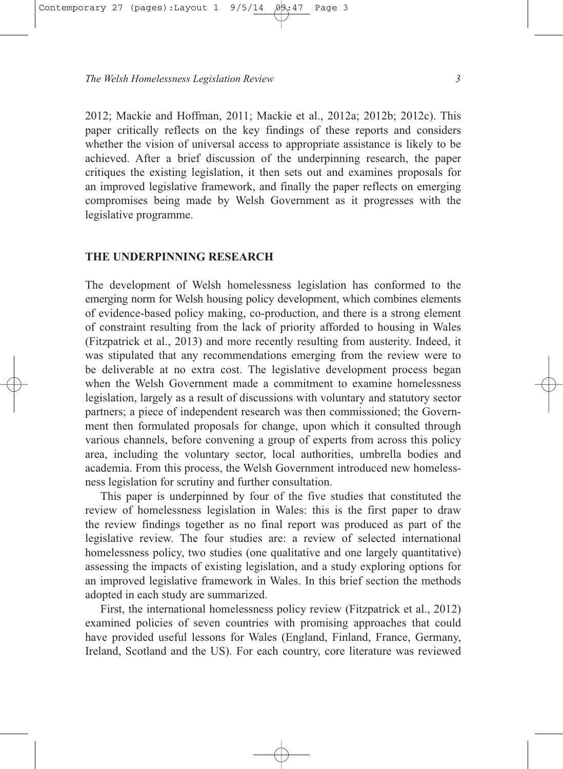2012; Mackie and Hoffman, 2011; Mackie et al., 2012a; 2012b; 2012c). This paper critically reflects on the key findings of these reports and considers whether the vision of universal access to appropriate assistance is likely to be achieved. After a brief discussion of the underpinning research, the paper critiques the existing legislation, it then sets out and examines proposals for an improved legislative framework, and finally the paper reflects on emerging compromises being made by Welsh Government as it progresses with the legislative programme.

## **THE UNDERPINNING RESEARCH**

The development of Welsh homelessness legislation has conformed to the emerging norm for Welsh housing policy development, which combines elements of evidence-based policy making, co-production, and there is a strong element of constraint resulting from the lack of priority afforded to housing in Wales (Fitzpatrick et al., 2013) and more recently resulting from austerity. Indeed, it was stipulated that any recommendations emerging from the review were to be deliverable at no extra cost. The legislative development process began when the Welsh Government made a commitment to examine homelessness legislation, largely as a result of discussions with voluntary and statutory sector partners; a piece of independent research was then commissioned; the Government then formulated proposals for change, upon which it consulted through various channels, before convening a group of experts from across this policy area, including the voluntary sector, local authorities, umbrella bodies and academia. From this process, the Welsh Government introduced new homelessness legislation for scrutiny and further consultation.

This paper is underpinned by four of the five studies that constituted the review of homelessness legislation in Wales: this is the first paper to draw the review findings together as no final report was produced as part of the legislative review. The four studies are: a review of selected international homelessness policy, two studies (one qualitative and one largely quantitative) assessing the impacts of existing legislation, and a study exploring options for an improved legislative framework in Wales. In this brief section the methods adopted in each study are summarized.

First, the international homelessness policy review (Fitzpatrick et al., 2012) examined policies of seven countries with promising approaches that could have provided useful lessons for Wales (England, Finland, France, Germany, Ireland, Scotland and the US). For each country, core literature was reviewed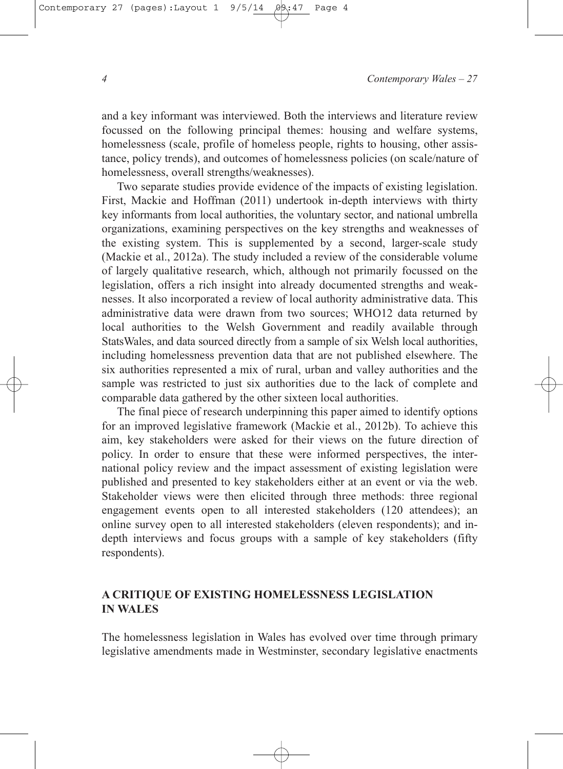and a key informant was interviewed. Both the interviews and literature review focussed on the following principal themes: housing and welfare systems, homelessness (scale, profile of homeless people, rights to housing, other assistance, policy trends), and outcomes of homelessness policies (on scale/nature of homelessness, overall strengths/weaknesses).

Two separate studies provide evidence of the impacts of existing legislation. First, Mackie and Hoffman (2011) undertook in-depth interviews with thirty key informants from local authorities, the voluntary sector, and national umbrella organizations, examining perspectives on the key strengths and weaknesses of the existing system. This is supplemented by a second, larger-scale study (Mackie et al., 2012a). The study included a review of the considerable volume of largely qualitative research, which, although not primarily focussed on the legislation, offers a rich insight into already documented strengths and weaknesses. It also incorporated a review of local authority administrative data. This administrative data were drawn from two sources; WHO12 data returned by local authorities to the Welsh Government and readily available through StatsWales, and data sourced directly from a sample of six Welsh local authorities, including homelessness prevention data that are not published elsewhere. The six authorities represented a mix of rural, urban and valley authorities and the sample was restricted to just six authorities due to the lack of complete and comparable data gathered by the other sixteen local authorities.

The final piece of research underpinning this paper aimed to identify options for an improved legislative framework (Mackie et al., 2012b). To achieve this aim, key stakeholders were asked for their views on the future direction of policy. In order to ensure that these were informed perspectives, the international policy review and the impact assessment of existing legislation were published and presented to key stakeholders either at an event or via the web. Stakeholder views were then elicited through three methods: three regional engagement events open to all interested stakeholders (120 attendees); an online survey open to all interested stakeholders (eleven respondents); and indepth interviews and focus groups with a sample of key stakeholders (fifty respondents).

## **A CRITIQUE OF EXISTING HOMELESSNESS LEGISLATION IN WALES**

The homelessness legislation in Wales has evolved over time through primary legislative amendments made in Westminster, secondary legislative enactments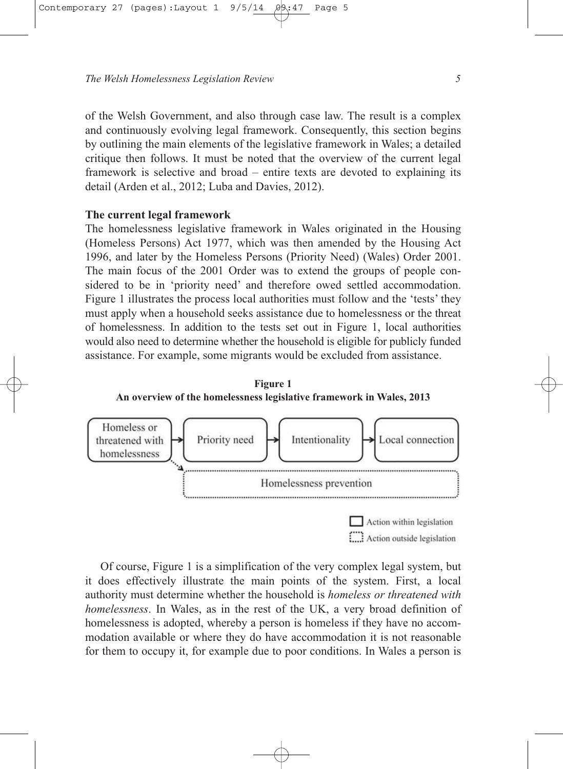of the Welsh Government, and also through case law. The result is a complex and continuously evolving legal framework. Consequently, this section begins by outlining the main elements of the legislative framework in Wales; a detailed critique then follows. It must be noted that the overview of the current legal framework is selective and broad – entire texts are devoted to explaining its detail (Arden et al., 2012; Luba and Davies, 2012).

## **The current legal framework**

The homelessness legislative framework in Wales originated in the Housing (Homeless Persons) Act 1977, which was then amended by the Housing Act 1996, and later by the Homeless Persons (Priority Need) (Wales) Order 2001. The main focus of the 2001 Order was to extend the groups of people considered to be in 'priority need' and therefore owed settled accommodation. Figure 1 illustrates the process local authorities must follow and the 'tests' they must apply when a household seeks assistance due to homelessness or the threat of homelessness. In addition to the tests set out in Figure 1, local authorities would also need to determine whether the household is eligible for publicly funded assistance. For example, some migrants would be excluded from assistance.





Of course, Figure 1 is a simplification of the very complex legal system, but it does effectively illustrate the main points of the system. First, a local authority must determine whether the household is *homeless or threatened with homelessness*. In Wales, as in the rest of the UK, a very broad definition of homelessness is adopted, whereby a person is homeless if they have no accommodation available or where they do have accommodation it is not reasonable for them to occupy it, for example due to poor conditions. In Wales a person is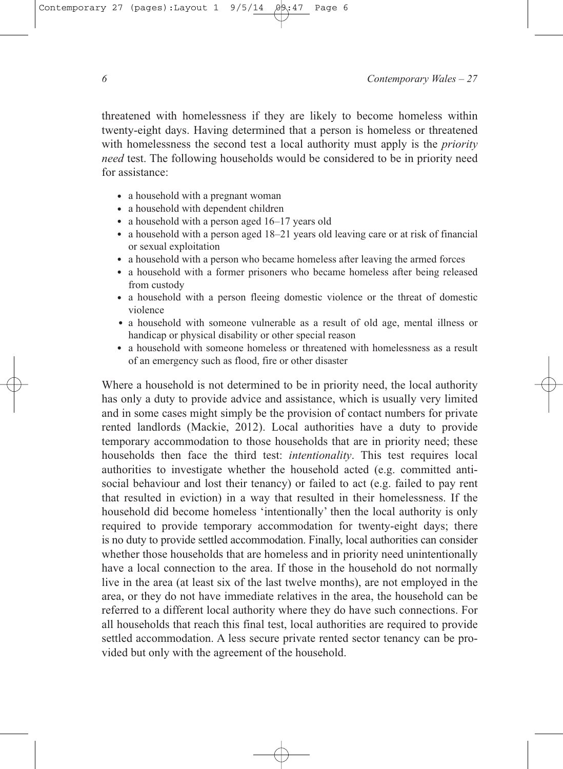threatened with homelessness if they are likely to become homeless within twenty-eight days. Having determined that a person is homeless or threatened with homelessness the second test a local authority must apply is the *priority need* test. The following households would be considered to be in priority need for assistance:

- a household with a pregnant woman
- a household with dependent children
- a household with a person aged 16–17 years old
- a household with a person aged 18–21 years old leaving care or at risk of financial or sexual exploitation
- a household with a person who became homeless after leaving the armed forces
- a household with a former prisoners who became homeless after being released from custody
- a household with a person fleeing domestic violence or the threat of domestic violence
- a household with someone vulnerable as a result of old age, mental illness or handicap or physical disability or other special reason
- a household with someone homeless or threatened with homelessness as a result of an emergency such as flood, fire or other disaster

Where a household is not determined to be in priority need, the local authority has only a duty to provide advice and assistance, which is usually very limited and in some cases might simply be the provision of contact numbers for private rented landlords (Mackie, 2012). Local authorities have a duty to provide temporary accommodation to those households that are in priority need; these households then face the third test: *intentionality*. This test requires local authorities to investigate whether the household acted (e.g. committed antisocial behaviour and lost their tenancy) or failed to act (e.g. failed to pay rent that resulted in eviction) in a way that resulted in their homelessness. If the household did become homeless 'intentionally' then the local authority is only required to provide temporary accommodation for twenty-eight days; there is no duty to provide settled accommodation. Finally, local authorities can consider whether those households that are homeless and in priority need unintentionally have a local connection to the area. If those in the household do not normally live in the area (at least six of the last twelve months), are not employed in the area, or they do not have immediate relatives in the area, the household can be referred to a different local authority where they do have such connections. For all households that reach this final test, local authorities are required to provide settled accommodation. A less secure private rented sector tenancy can be provided but only with the agreement of the household.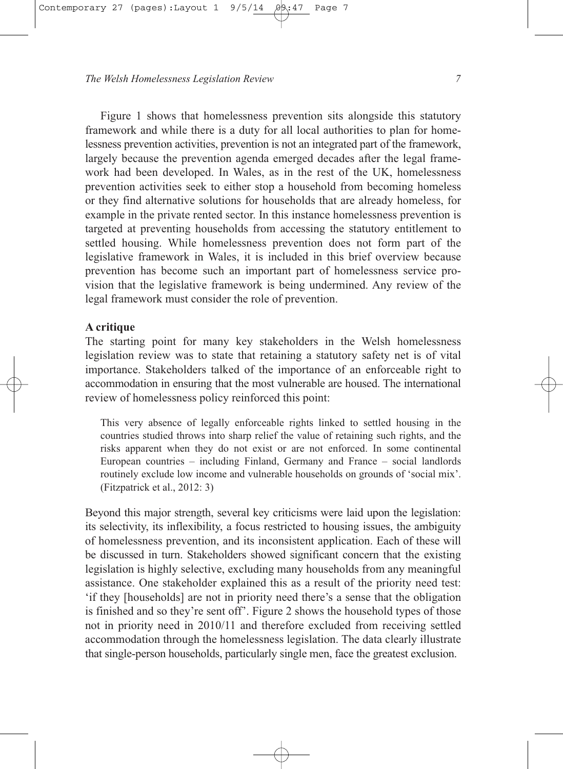Figure 1 shows that homelessness prevention sits alongside this statutory framework and while there is a duty for all local authorities to plan for homelessness prevention activities, prevention is not an integrated part of the framework, largely because the prevention agenda emerged decades after the legal framework had been developed. In Wales, as in the rest of the UK, homelessness prevention activities seek to either stop a household from becoming homeless or they find alternative solutions for households that are already homeless, for example in the private rented sector. In this instance homelessness prevention is targeted at preventing households from accessing the statutory entitlement to settled housing. While homelessness prevention does not form part of the legislative framework in Wales, it is included in this brief overview because prevention has become such an important part of homelessness service provision that the legislative framework is being undermined. Any review of the legal framework must consider the role of prevention.

## **A critique**

The starting point for many key stakeholders in the Welsh homelessness legislation review was to state that retaining a statutory safety net is of vital importance. Stakeholders talked of the importance of an enforceable right to accommodation in ensuring that the most vulnerable are housed. The international review of homelessness policy reinforced this point:

This very absence of legally enforceable rights linked to settled housing in the countries studied throws into sharp relief the value of retaining such rights, and the risks apparent when they do not exist or are not enforced. In some continental European countries – including Finland, Germany and France – social landlords routinely exclude low income and vulnerable households on grounds of 'social mix'. (Fitzpatrick et al., 2012: 3)

Beyond this major strength, several key criticisms were laid upon the legislation: its selectivity, its inflexibility, a focus restricted to housing issues, the ambiguity of homelessness prevention, and its inconsistent application. Each of these will be discussed in turn. Stakeholders showed significant concern that the existing legislation is highly selective, excluding many households from any meaningful assistance. One stakeholder explained this as a result of the priority need test: 'if they [households] are not in priority need there's a sense that the obligation is finished and so they're sent off'. Figure 2 shows the household types of those not in priority need in 2010/11 and therefore excluded from receiving settled accommodation through the homelessness legislation. The data clearly illustrate that single-person households, particularly single men, face the greatest exclusion.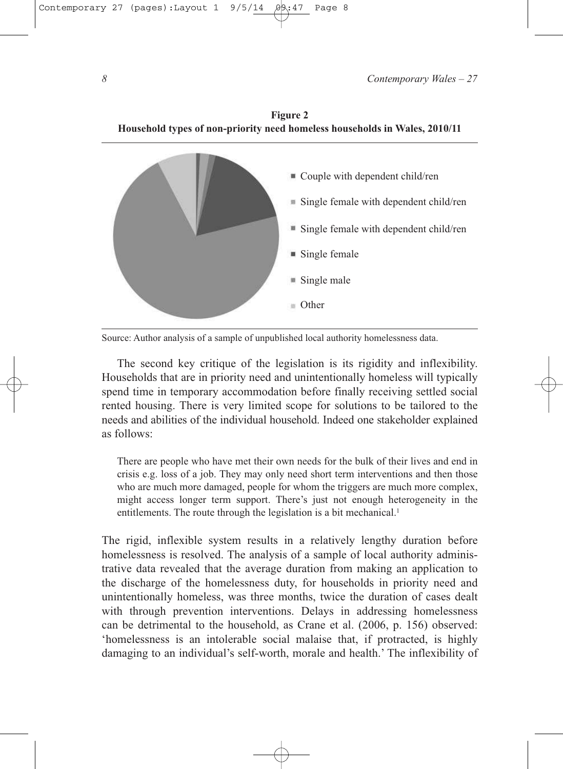

Source: Author analysis of a sample of unpublished local authority homelessness data.

The second key critique of the legislation is its rigidity and inflexibility. Households that are in priority need and unintentionally homeless will typically spend time in temporary accommodation before finally receiving settled social rented housing. There is very limited scope for solutions to be tailored to the needs and abilities of the individual household. Indeed one stakeholder explained as follows:

There are people who have met their own needs for the bulk of their lives and end in crisis e.g. loss of a job. They may only need short term interventions and then those who are much more damaged, people for whom the triggers are much more complex, might access longer term support. There's just not enough heterogeneity in the entitlements. The route through the legislation is a bit mechanical.<sup>1</sup>

The rigid, inflexible system results in a relatively lengthy duration before homelessness is resolved. The analysis of a sample of local authority administrative data revealed that the average duration from making an application to the discharge of the homelessness duty, for households in priority need and unintentionally homeless, was three months, twice the duration of cases dealt with through prevention interventions. Delays in addressing homelessness can be detrimental to the household, as Crane et al. (2006, p. 156) observed: 'homelessness is an intolerable social malaise that, if protracted, is highly damaging to an individual's self-worth, morale and health.' The inflexibility of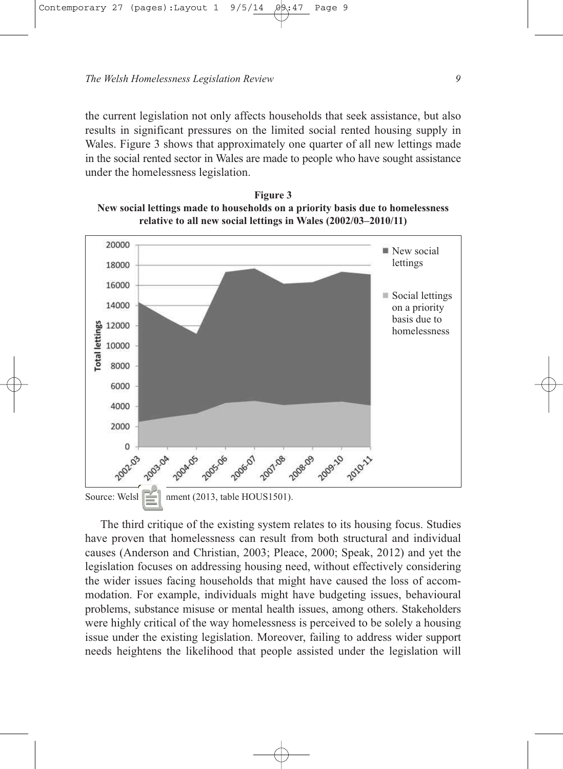the current legislation not only affects households that seek assistance, but also results in significant pressures on the limited social rented housing supply in Wales. Figure 3 shows that approximately one quarter of all new lettings made in the social rented sector in Wales are made to people who have sought assistance under the homelessness legislation.

**Figure 3 New social lettings made to households on a priority basis due to homelessness relative to all new social lettings in Wales (2002/03–2010/11)**



Source: Welsh Givenment (2013, table HOUS1501).

The third critique of the existing system relates to its housing focus. Studies have proven that homelessness can result from both structural and individual causes (Anderson and Christian, 2003; Pleace, 2000; Speak, 2012) and yet the legislation focuses on addressing housing need, without effectively considering the wider issues facing households that might have caused the loss of accommodation. For example, individuals might have budgeting issues, behavioural problems, substance misuse or mental health issues, among others. Stakeholders were highly critical of the way homelessness is perceived to be solely a housing issue under the existing legislation. Moreover, failing to address wider support needs heightens the likelihood that people assisted under the legislation will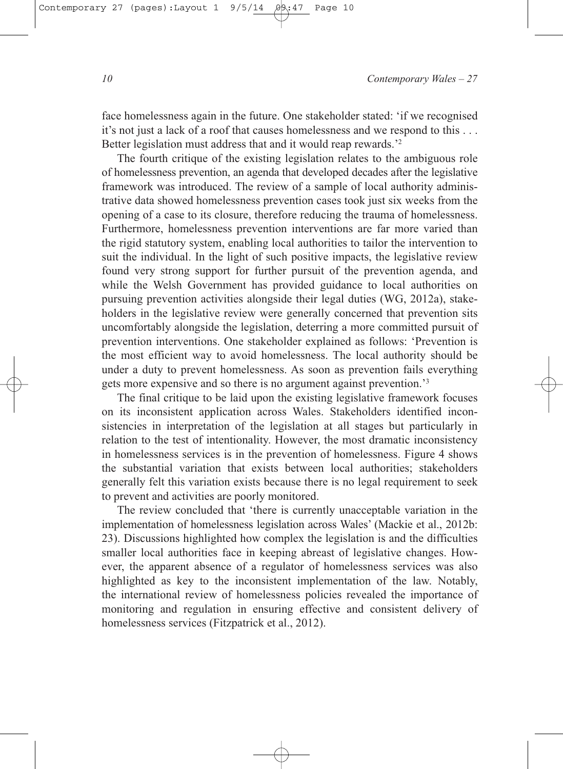face homelessness again in the future. One stakeholder stated: 'if we recognised it's not just a lack of a roof that causes homelessness and we respond to this . . . Better legislation must address that and it would reap rewards.'<sup>2</sup>

The fourth critique of the existing legislation relates to the ambiguous role of homelessness prevention, an agenda that developed decades after the legislative framework was introduced. The review of a sample of local authority administrative data showed homelessness prevention cases took just six weeks from the opening of a case to its closure, therefore reducing the trauma of homelessness. Furthermore, homelessness prevention interventions are far more varied than the rigid statutory system, enabling local authorities to tailor the intervention to suit the individual. In the light of such positive impacts, the legislative review found very strong support for further pursuit of the prevention agenda, and while the Welsh Government has provided guidance to local authorities on pursuing prevention activities alongside their legal duties (WG, 2012a), stakeholders in the legislative review were generally concerned that prevention sits uncomfortably alongside the legislation, deterring a more committed pursuit of prevention interventions. One stakeholder explained as follows: 'Prevention is the most efficient way to avoid homelessness. The local authority should be under a duty to prevent homelessness. As soon as prevention fails everything gets more expensive and so there is no argument against prevention.'<sup>3</sup>

The final critique to be laid upon the existing legislative framework focuses on its inconsistent application across Wales. Stakeholders identified inconsistencies in interpretation of the legislation at all stages but particularly in relation to the test of intentionality. However, the most dramatic inconsistency in homelessness services is in the prevention of homelessness. Figure 4 shows the substantial variation that exists between local authorities; stakeholders generally felt this variation exists because there is no legal requirement to seek to prevent and activities are poorly monitored.

The review concluded that 'there is currently unacceptable variation in the implementation of homelessness legislation across Wales' (Mackie et al., 2012b: 23). Discussions highlighted how complex the legislation is and the difficulties smaller local authorities face in keeping abreast of legislative changes. However, the apparent absence of a regulator of homelessness services was also highlighted as key to the inconsistent implementation of the law. Notably, the international review of homelessness policies revealed the importance of monitoring and regulation in ensuring effective and consistent delivery of homelessness services (Fitzpatrick et al., 2012).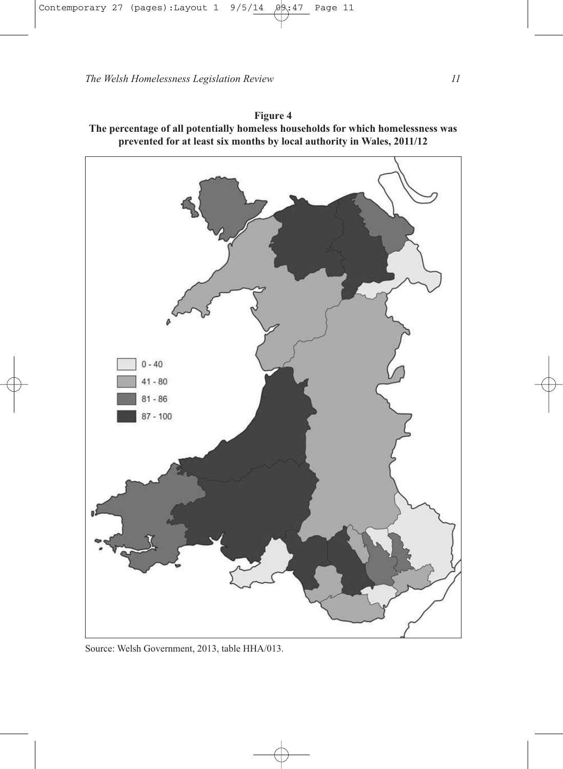

**Figure 4 The percentage of all potentially homeless households for which homelessness was prevented for at least six months by local authority in Wales, 2011/12**

Source: Welsh Government, 2013, table HHA/013.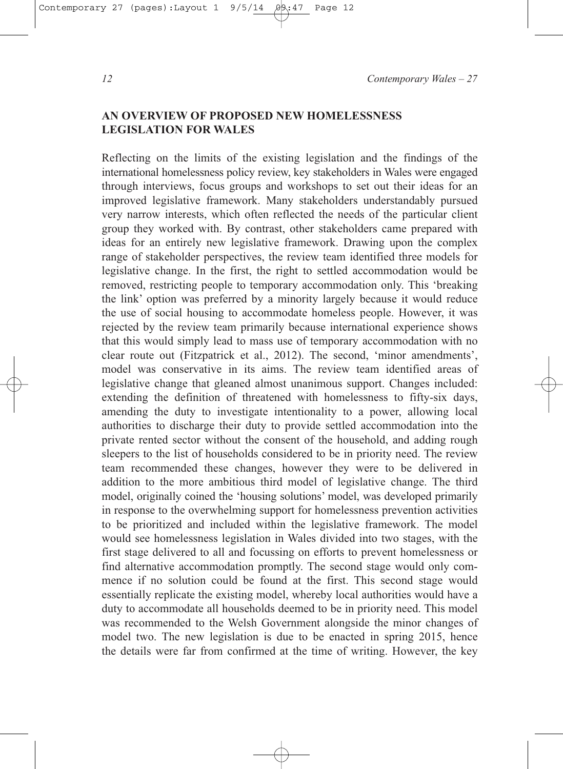## **AN OVERVIEW OF PROPOSED NEW HOMELESSNESS LEGISLATION FOR WALES**

Reflecting on the limits of the existing legislation and the findings of the international homelessness policy review, key stakeholders in Wales were engaged through interviews, focus groups and workshops to set out their ideas for an improved legislative framework. Many stakeholders understandably pursued very narrow interests, which often reflected the needs of the particular client group they worked with. By contrast, other stakeholders came prepared with ideas for an entirely new legislative framework. Drawing upon the complex range of stakeholder perspectives, the review team identified three models for legislative change. In the first, the right to settled accommodation would be removed, restricting people to temporary accommodation only. This 'breaking the link' option was preferred by a minority largely because it would reduce the use of social housing to accommodate homeless people. However, it was rejected by the review team primarily because international experience shows that this would simply lead to mass use of temporary accommodation with no clear route out (Fitzpatrick et al., 2012). The second, 'minor amendments', model was conservative in its aims. The review team identified areas of legislative change that gleaned almost unanimous support. Changes included: extending the definition of threatened with homelessness to fifty-six days, amending the duty to investigate intentionality to a power, allowing local authorities to discharge their duty to provide settled accommodation into the private rented sector without the consent of the household, and adding rough sleepers to the list of households considered to be in priority need. The review team recommended these changes, however they were to be delivered in addition to the more ambitious third model of legislative change. The third model, originally coined the 'housing solutions' model, was developed primarily in response to the overwhelming support for homelessness prevention activities to be prioritized and included within the legislative framework. The model would see homelessness legislation in Wales divided into two stages, with the first stage delivered to all and focussing on efforts to prevent homelessness or find alternative accommodation promptly. The second stage would only commence if no solution could be found at the first. This second stage would essentially replicate the existing model, whereby local authorities would have a duty to accommodate all households deemed to be in priority need. This model was recommended to the Welsh Government alongside the minor changes of model two. The new legislation is due to be enacted in spring 2015, hence the details were far from confirmed at the time of writing. However, the key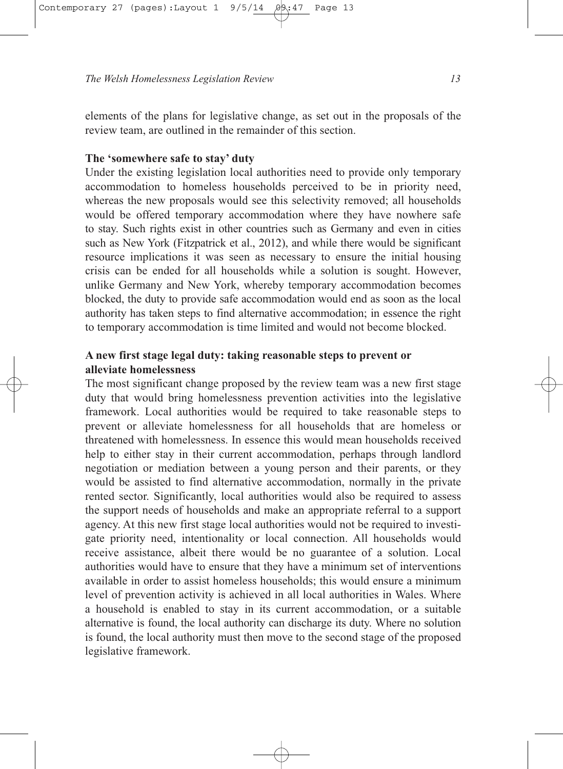elements of the plans for legislative change, as set out in the proposals of the review team, are outlined in the remainder of this section.

## **The 'somewhere safe to stay' duty**

Under the existing legislation local authorities need to provide only temporary accommodation to homeless households perceived to be in priority need, whereas the new proposals would see this selectivity removed; all households would be offered temporary accommodation where they have nowhere safe to stay. Such rights exist in other countries such as Germany and even in cities such as New York (Fitzpatrick et al., 2012), and while there would be significant resource implications it was seen as necessary to ensure the initial housing crisis can be ended for all households while a solution is sought. However, unlike Germany and New York, whereby temporary accommodation becomes blocked, the duty to provide safe accommodation would end as soon as the local authority has taken steps to find alternative accommodation; in essence the right to temporary accommodation is time limited and would not become blocked.

## **A new first stage legal duty: taking reasonable steps to prevent or alleviate homelessness**

The most significant change proposed by the review team was a new first stage duty that would bring homelessness prevention activities into the legislative framework. Local authorities would be required to take reasonable steps to prevent or alleviate homelessness for all households that are homeless or threatened with homelessness. In essence this would mean households received help to either stay in their current accommodation, perhaps through landlord negotiation or mediation between a young person and their parents, or they would be assisted to find alternative accommodation, normally in the private rented sector. Significantly, local authorities would also be required to assess the support needs of households and make an appropriate referral to a support agency. At this new first stage local authorities would not be required to investigate priority need, intentionality or local connection. All households would receive assistance, albeit there would be no guarantee of a solution. Local authorities would have to ensure that they have a minimum set of interventions available in order to assist homeless households; this would ensure a minimum level of prevention activity is achieved in all local authorities in Wales. Where a household is enabled to stay in its current accommodation, or a suitable alternative is found, the local authority can discharge its duty. Where no solution is found, the local authority must then move to the second stage of the proposed legislative framework.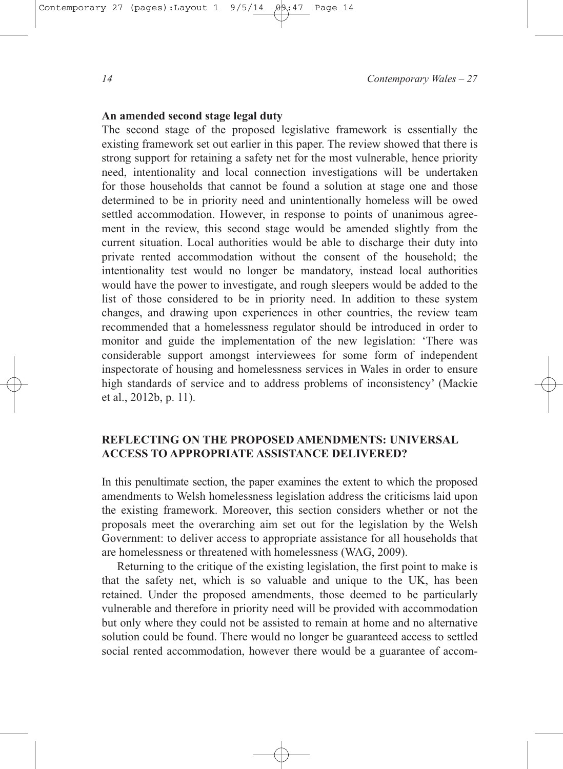## **An amended second stage legal duty**

The second stage of the proposed legislative framework is essentially the existing framework set out earlier in this paper. The review showed that there is strong support for retaining a safety net for the most vulnerable, hence priority need, intentionality and local connection investigations will be undertaken for those households that cannot be found a solution at stage one and those determined to be in priority need and unintentionally homeless will be owed settled accommodation. However, in response to points of unanimous agreement in the review, this second stage would be amended slightly from the current situation. Local authorities would be able to discharge their duty into private rented accommodation without the consent of the household; the intentionality test would no longer be mandatory, instead local authorities would have the power to investigate, and rough sleepers would be added to the list of those considered to be in priority need. In addition to these system changes, and drawing upon experiences in other countries, the review team recommended that a homelessness regulator should be introduced in order to monitor and guide the implementation of the new legislation: 'There was considerable support amongst interviewees for some form of independent inspectorate of housing and homelessness services in Wales in order to ensure high standards of service and to address problems of inconsistency' (Mackie et al., 2012b, p. 11).

## **REFLECTING ON THE PROPOSED AMENDMENTS: UNIVERSAL ACCESS TO APPROPRIATE ASSISTANCE DELIVERED?**

In this penultimate section, the paper examines the extent to which the proposed amendments to Welsh homelessness legislation address the criticisms laid upon the existing framework. Moreover, this section considers whether or not the proposals meet the overarching aim set out for the legislation by the Welsh Government: to deliver access to appropriate assistance for all households that are homelessness or threatened with homelessness (WAG, 2009).

Returning to the critique of the existing legislation, the first point to make is that the safety net, which is so valuable and unique to the UK, has been retained. Under the proposed amendments, those deemed to be particularly vulnerable and therefore in priority need will be provided with accommodation but only where they could not be assisted to remain at home and no alternative solution could be found. There would no longer be guaranteed access to settled social rented accommodation, however there would be a guarantee of accom-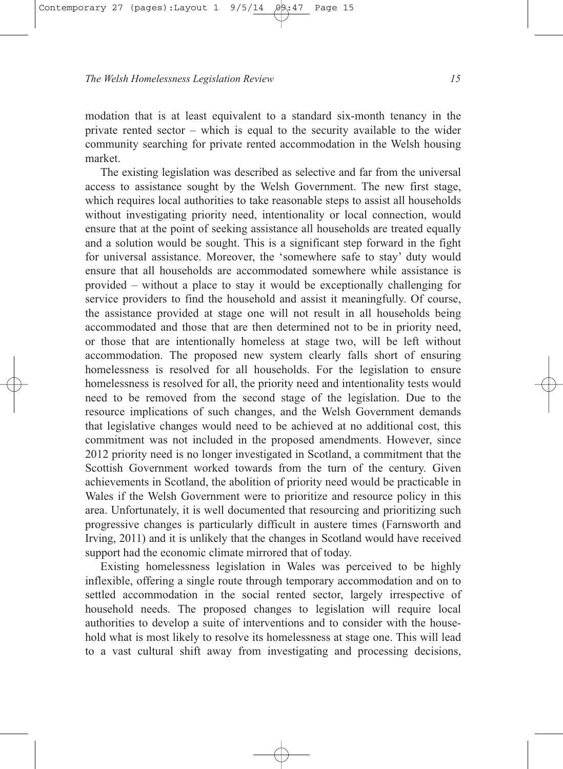modation that is at least equivalent to a standard six-month tenancy in the private rented sector – which is equal to the security available to the wider community searching for private rented accommodation in the Welsh housing market.

The existing legislation was described as selective and far from the universal access to assistance sought by the Welsh Government. The new first stage, which requires local authorities to take reasonable steps to assist all households without investigating priority need, intentionality or local connection, would ensure that at the point of seeking assistance all households are treated equally and a solution would be sought. This is a significant step forward in the fight for universal assistance. Moreover, the 'somewhere safe to stay' duty would ensure that all households are accommodated somewhere while assistance is provided – without a place to stay it would be exceptionally challenging for service providers to find the household and assist it meaningfully. Of course, the assistance provided at stage one will not result in all households being accommodated and those that are then determined not to be in priority need, or those that are intentionally homeless at stage two, will be left without accommodation. The proposed new system clearly falls short of ensuring homelessness is resolved for all households. For the legislation to ensure homelessness is resolved for all, the priority need and intentionality tests would need to be removed from the second stage of the legislation. Due to the resource implications of such changes, and the Welsh Government demands that legislative changes would need to be achieved at no additional cost, this commitment was not included in the proposed amendments. However, since 2012 priority need is no longer investigated in Scotland, a commitment that the Scottish Government worked towards from the turn of the century. Given achievements in Scotland, the abolition of priority need would be practicable in Wales if the Welsh Government were to prioritize and resource policy in this area. Unfortunately, it is well documented that resourcing and prioritizing such progressive changes is particularly difficult in austere times (Farnsworth and Irving, 2011) and it is unlikely that the changes in Scotland would have received support had the economic climate mirrored that of today.

Existing homelessness legislation in Wales was perceived to be highly inflexible, offering a single route through temporary accommodation and on to settled accommodation in the social rented sector, largely irrespective of household needs. The proposed changes to legislation will require local authorities to develop a suite of interventions and to consider with the household what is most likely to resolve its homelessness at stage one. This will lead to a vast cultural shift away from investigating and processing decisions,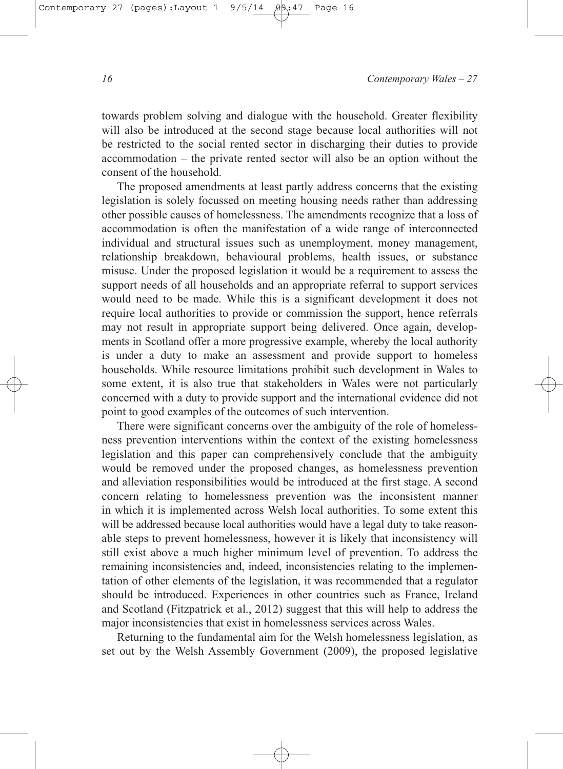towards problem solving and dialogue with the household. Greater flexibility will also be introduced at the second stage because local authorities will not be restricted to the social rented sector in discharging their duties to provide accommodation – the private rented sector will also be an option without the consent of the household.

The proposed amendments at least partly address concerns that the existing legislation is solely focussed on meeting housing needs rather than addressing other possible causes of homelessness. The amendments recognize that a loss of accommodation is often the manifestation of a wide range of interconnected individual and structural issues such as unemployment, money management, relationship breakdown, behavioural problems, health issues, or substance misuse. Under the proposed legislation it would be a requirement to assess the support needs of all households and an appropriate referral to support services would need to be made. While this is a significant development it does not require local authorities to provide or commission the support, hence referrals may not result in appropriate support being delivered. Once again, developments in Scotland offer a more progressive example, whereby the local authority is under a duty to make an assessment and provide support to homeless households. While resource limitations prohibit such development in Wales to some extent, it is also true that stakeholders in Wales were not particularly concerned with a duty to provide support and the international evidence did not point to good examples of the outcomes of such intervention.

There were significant concerns over the ambiguity of the role of homelessness prevention interventions within the context of the existing homelessness legislation and this paper can comprehensively conclude that the ambiguity would be removed under the proposed changes, as homelessness prevention and alleviation responsibilities would be introduced at the first stage. A second concern relating to homelessness prevention was the inconsistent manner in which it is implemented across Welsh local authorities. To some extent this will be addressed because local authorities would have a legal duty to take reasonable steps to prevent homelessness, however it is likely that inconsistency will still exist above a much higher minimum level of prevention. To address the remaining inconsistencies and, indeed, inconsistencies relating to the implementation of other elements of the legislation, it was recommended that a regulator should be introduced. Experiences in other countries such as France, Ireland and Scotland (Fitzpatrick et al., 2012) suggest that this will help to address the major inconsistencies that exist in homelessness services across Wales.

Returning to the fundamental aim for the Welsh homelessness legislation, as set out by the Welsh Assembly Government (2009), the proposed legislative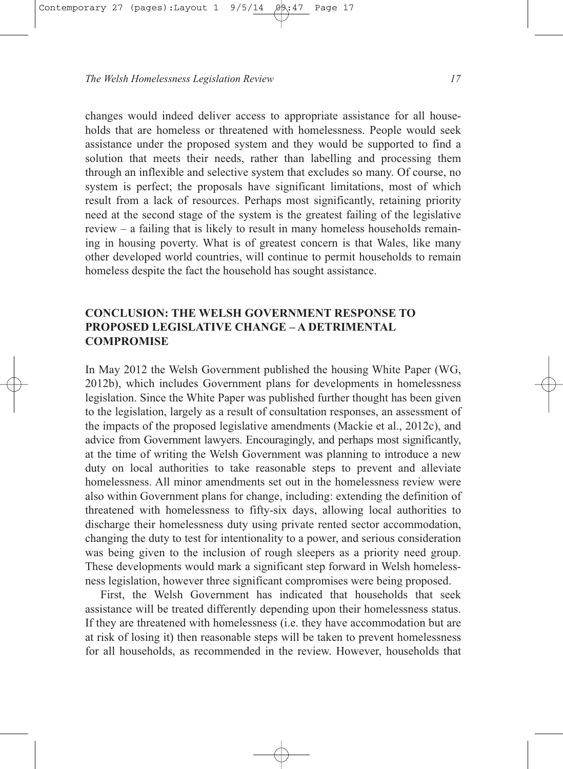changes would indeed deliver access to appropriate assistance for all households that are homeless or threatened with homelessness. People would seek assistance under the proposed system and they would be supported to find a solution that meets their needs, rather than labelling and processing them through an inflexible and selective system that excludes so many. Of course, no system is perfect; the proposals have significant limitations, most of which result from a lack of resources. Perhaps most significantly, retaining priority need at the second stage of the system is the greatest failing of the legislative review – a failing that is likely to result in many homeless households remaining in housing poverty. What is of greatest concern is that Wales, like many other developed world countries, will continue to permit households to remain homeless despite the fact the household has sought assistance.

## **CONCLUSION: THE WELSH GOVERNMENT RESPONSE TO PROPOSED LEGISLATIVE CHANGE – A DETRIMENTAL COMPROMISE**

In May 2012 the Welsh Government published the housing White Paper (WG, 2012b), which includes Government plans for developments in homelessness legislation. Since the White Paper was published further thought has been given to the legislation, largely as a result of consultation responses, an assessment of the impacts of the proposed legislative amendments (Mackie et al., 2012c), and advice from Government lawyers. Encouragingly, and perhaps most significantly, at the time of writing the Welsh Government was planning to introduce a new duty on local authorities to take reasonable steps to prevent and alleviate homelessness. All minor amendments set out in the homelessness review were also within Government plans for change, including: extending the definition of threatened with homelessness to fifty-six days, allowing local authorities to discharge their homelessness duty using private rented sector accommodation, changing the duty to test for intentionality to a power, and serious consideration was being given to the inclusion of rough sleepers as a priority need group. These developments would mark a significant step forward in Welsh homelessness legislation, however three significant compromises were being proposed.

First, the Welsh Government has indicated that households that seek assistance will be treated differently depending upon their homelessness status. If they are threatened with homelessness (i.e. they have accommodation but are at risk of losing it) then reasonable steps will be taken to prevent homelessness for all households, as recommended in the review. However, households that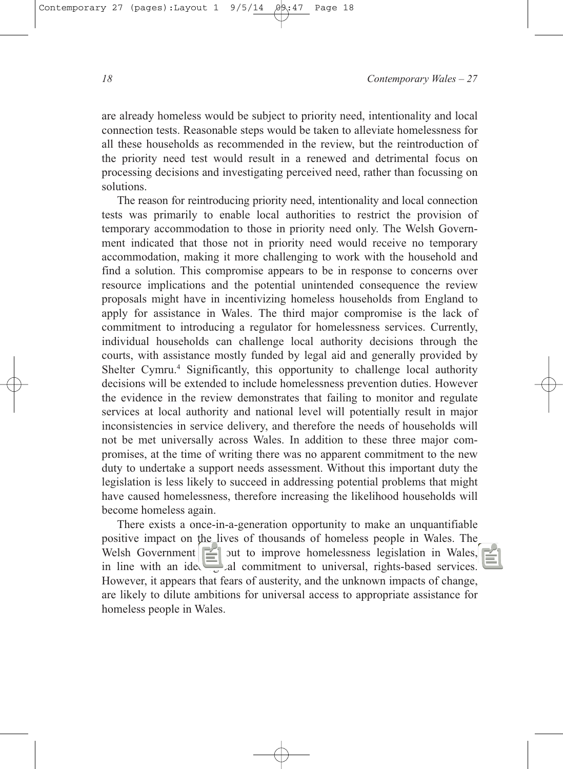are already homeless would be subject to priority need, intentionality and local connection tests. Reasonable steps would be taken to alleviate homelessness for all these households as recommended in the review, but the reintroduction of the priority need test would result in a renewed and detrimental focus on processing decisions and investigating perceived need, rather than focussing on solutions.

The reason for reintroducing priority need, intentionality and local connection tests was primarily to enable local authorities to restrict the provision of temporary accommodation to those in priority need only. The Welsh Government indicated that those not in priority need would receive no temporary accommodation, making it more challenging to work with the household and find a solution. This compromise appears to be in response to concerns over resource implications and the potential unintended consequence the review proposals might have in incentivizing homeless households from England to apply for assistance in Wales. The third major compromise is the lack of commitment to introducing a regulator for homelessness services. Currently, individual households can challenge local authority decisions through the courts, with assistance mostly funded by legal aid and generally provided by Shelter Cymru.<sup>4</sup> Significantly, this opportunity to challenge local authority decisions will be extended to include homelessness prevention duties. However the evidence in the review demonstrates that failing to monitor and regulate services at local authority and national level will potentially result in major inconsistencies in service delivery, and therefore the needs of households will not be met universally across Wales. In addition to these three major compromises, at the time of writing there was no apparent commitment to the new duty to undertake a support needs assessment. Without this important duty the legislation is less likely to succeed in addressing potential problems that might have caused homelessness, therefore increasing the likelihood households will become homeless again.

There exists a once-in-a-generation opportunity to make an unquantifiable positive impact on the lives of thousands of homeless people in Wales. The Welsh Government  $\left|\xi\right|$  out to improve homelessness legislation in Wales, in line with an ideological commitment to universal, rights-based services. However, it appears that fears of austerity, and the unknown impacts of change, are likely to dilute ambitions for universal access to appropriate assistance for homeless people in Wales.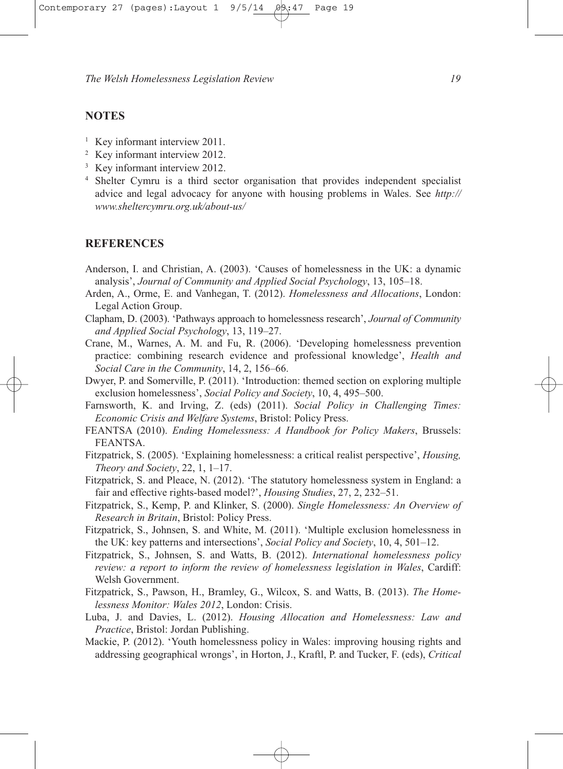## **NOTES**

- <sup>1</sup> Key informant interview 2011.
- <sup>2</sup> Key informant interview 2012.
- <sup>3</sup> Key informant interview 2012.
- <sup>4</sup> Shelter Cymru is a third sector organisation that provides independent specialist advice and legal advocacy for anyone with housing problems in Wales. See *http:// www.sheltercymru.org.uk/about-us/*

#### **REFERENCES**

- Anderson, I. and Christian, A. (2003). 'Causes of homelessness in the UK: a dynamic analysis', *Journal of Community and Applied Social Psychology*, 13, 105–18.
- Arden, A., Orme, E. and Vanhegan, T. (2012). *Homelessness and Allocations*, London: Legal Action Group.
- Clapham, D. (2003). 'Pathways approach to homelessness research', *Journal of Community and Applied Social Psychology*, 13, 119–27.
- Crane, M., Warnes, A. M. and Fu, R. (2006). 'Developing homelessness prevention practice: combining research evidence and professional knowledge', *Health and Social Care in the Community*, 14, 2, 156–66.
- Dwyer, P. and Somerville, P. (2011). 'Introduction: themed section on exploring multiple exclusion homelessness', *Social Policy and Society*, 10, 4, 495–500.
- Farnsworth, K. and Irving, Z. (eds) (2011). *Social Policy in Challenging Times: Economic Crisis and Welfare Systems*, Bristol: Policy Press.
- FEANTSA (2010). *Ending Homelessness: A Handbook for Policy Makers*, Brussels: FEANTSA.
- Fitzpatrick, S. (2005). 'Explaining homelessness: a critical realist perspective', *Housing, Theory and Society*, 22, 1, 1–17.
- Fitzpatrick, S. and Pleace, N. (2012). 'The statutory homelessness system in England: a fair and effective rights-based model?', *Housing Studies*, 27, 2, 232–51.
- Fitzpatrick, S., Kemp, P. and Klinker, S. (2000). *Single Homelessness: An Overview of Research in Britain*, Bristol: Policy Press.
- Fitzpatrick, S., Johnsen, S. and White, M. (2011). 'Multiple exclusion homelessness in the UK: key patterns and intersections', *Social Policy and Society*, 10, 4, 501–12.
- Fitzpatrick, S., Johnsen, S. and Watts, B. (2012). *International homelessness policy review: a report to inform the review of homelessness legislation in Wales*, Cardiff: Welsh Government.
- Fitzpatrick, S., Pawson, H., Bramley, G., Wilcox, S. and Watts, B. (2013). *The Homelessness Monitor: Wales 2012*, London: Crisis.
- Luba, J. and Davies, L. (2012). *Housing Allocation and Homelessness: Law and Practice*, Bristol: Jordan Publishing.
- Mackie, P. (2012). 'Youth homelessness policy in Wales: improving housing rights and addressing geographical wrongs', in Horton, J., Kraftl, P. and Tucker, F. (eds), *Critical*